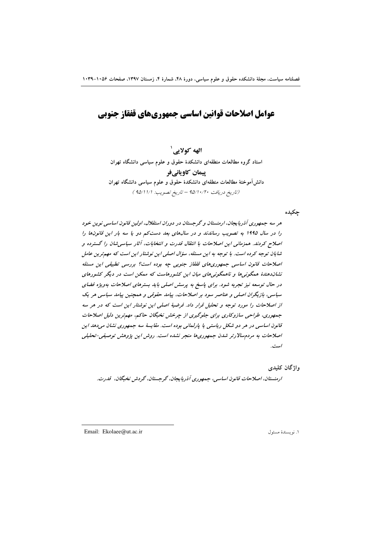# عوامل اصلاحات قوانين اساسي جمهوريهاي قفقاز جنوبي

الهه کولایی` استاد گروه مطالعات منطقهای دانشکدهٔ حقوق و علوم سیاسی دانشگاه تهران پیمان کاویانیفر دانش آموختهٔ مطالعات منطقهای دانشکدهٔ حقوق و علوم سیاسی دانشگاه تهران (تاريخ دريافت ١٠/٢٠/٧٥ - تاريخ تصويب: ١/١١/١٥٩)

چکیده

هر سه جمهوری آذربایجان، ارمنستان و گرجستان در دوران استقلال، اولین قانون اساسی نوین خود را در سال ۱۹۹۵ به تصویب رساندند و در سالهای بعد دست کم دو یا سه بار این قانونها را اصلاح کردند. همزمانی این اصلاحات با انتقال قدرت و انتخابات، آثار سیاسی شان را گسترده و شایان توجه کرده است. با توجه به این مسئله، سؤال اصلی این نوشتار این است که مهم ترین عامل اصلاحات قانون اساسی جمهوری های قفقاز جنوبی چه بوده است؟ بررسی تطبیقی این مسئله نشاندهندهٔ همگونیها و ناهمگونیهای میان این کشورهاست که ممکن است در دیگر کشورهای در حال توسعه نیز تجربه شود. برای پاسخ به پرسش اصلی باید بسترهای اصلاحات بهویژه فضای سیاسی، بازیگران اصلی و عناصر سود بر اصلاحات، پیامد حقوقی و همچنین پیامد سیاسی هر یک از اصلاحات را مورد توجه و تحلیل قرار داد. فرضیهٔ اصلی این نوشتار این است که در هر سه جمهوری، طراحی سازوکاری برای جلوگیری از چرخش نخبگان حاکم، مهم ترین دلیل اصلاحات قانون اساسی در هر دو شکل ریاستی یا پارلمانی بوده است. مقایسهٔ سه جمهوری نشان میدهد این اصلاحات به مردمسالارتر شدن جمهوری ها منجر نشده است. روش این پژوهش توصیفی-تحلیلی است.

واژگان کلیدی

ارمنستان، اصلاحات قانون اساسی، جمهوری آذربایجان، گرجستان، گردش نخبگان، قدرت.

Email: Ekolaee@ut.ac.ir

١. نو يسندة مسئول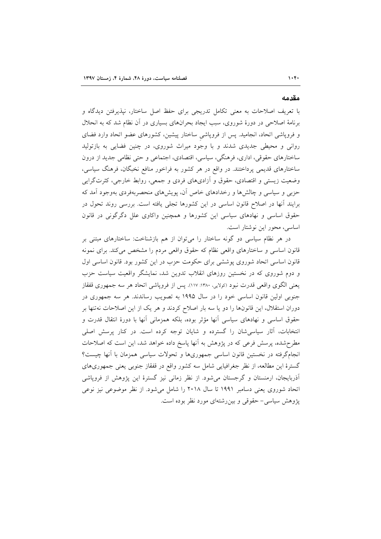#### مقدمه

با تعریف اصلاحات به معنی تکامل تدریجی برای حفظ اصل ساختار، نپذیرفتن دیدگاه و برنامهٔ اصلاحی در دورهٔ شوروی، سبب ایجاد بحرانهای بسیاری در آن نظام شد که به انحلال و فروپاشی اتحاد، انجامید. پس از فروپاشی ساختار پیشین، کشورهای عضو اتحاد وارد فضای روانی و محیطی جدیدی شدند و با وجود میراث شوروی، در چنین فضایی به بازتولید ساختارهای حقوقی، اداری، فرهنگی، سیاسی، اقتصادی، اجتماعی و حتی نظامی جدید از درون ساختارهای قدیمی پرداختند. در واقع در هر کشور به فراخور منافع نخبگان، فرهنگ سیاسی، وضعیت زیستی و اقتصادی، حقوق و آزادیهای فردی و جمعی، روابط خارجی، کثرتگرایی حزبی و سیاسی و چالش ها و رخدادهای خاص آن، پویش های منحصربهفردی بهوجود آمد که برایند أنها در اصلاح قانون اساسی در این کشورها تجلی یافته است. بررسی روند تحول در حقوق اساسی و نهادهای سیاسی این کشورها و همچنین واکاوی علل دگرگونی در قانون اساسی، محور این نوشتار است.

در هر نظام سیاسی دو گونه ساختار را می توان از هم بازشناخت: ساختارهای مبتنی بر قانون اساسی و ساختارهای واقعی نظام که حقوق واقعی مردم را مشخص می کند. برای نمونه قانون اساسی اتحاد شوروی پوششی برای حکومت حزب در این کشور بود. قانون اساسی اول و دوم شوروی که در نخستین روزهای انقلاب تدوین شد، نمایشگر واقعیت سیاست حزب يعني الگوي واقعي قدرت نبود (كولايي، ١٣٨٠: ١١٧). پس از فروپاشي اتحاد هر سه جمهوري قفقاز جنوبی اولین قانون اساسی خود را در سال ۱۹۹۵ به تصویب رساندند. هر سه جمهوری در دوران استقلال، این قانونها را دو یا سه بار اصلاح کردند و هر یک از این اصلاحات نهتنها بر حقوق اساسی و نهادهای سیاسی آنها مؤثر بوده، بلکه همزمانی آنها با دورهٔ انتقال قدرت و انتخابات، آثار سیاسی شان را گسترده و شایان توجه کرده است. در کنار پرسش اصلی مطرحشده، پرسش فرعی که در پژوهش به آنها پاسخ داده خواهد شد، این است که اصلاحات انجامگرفته در نخستین قانون اساسی جمهوریها و تحولات سیاسی همزمان با آنها چیست؟ گسترهٔ این مطالعه، از نظر جغرافیایی شامل سه کشور واقع در قفقاز جنوبی یعنی جمهوریهای آذربایجان، ارمنستان و گرجستان میشود. از نظر زمانی نیز گسترهٔ این پژوهش از فروپاشی اتحاد شوروی یعنی دسامبر ۱۹۹۱ تا سال ۲۰۱۸ را شامل می شود. از نظر موضوعی نیز نوعی پژوهش سیاسی- حقوقی و بین رشتهای مورد نظر بوده است.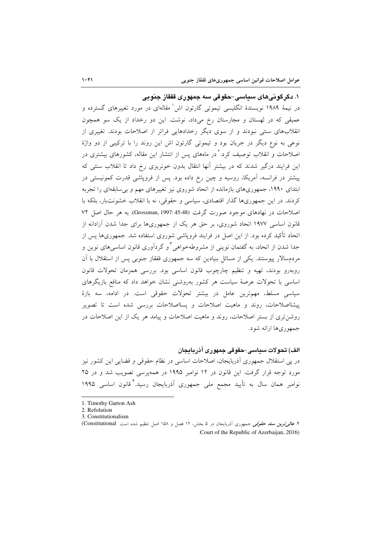۱. دگرگونی*های سی*اس*ی-ح*قوقی سه جمهوری قفقاز جنوبی در نیمهٔ ۱۹۸۹ نویسندهٔ انگلیسی تیموتی گارتون اش ٰ مقالهای در مورد تغییرهای گسترده و عمیقی که در لهستان و مجارستان رخ میداد، نوشت. این دو رخداد از یک سو همچون انقلابهای سنتی نبودند و از سوی دیگر رخدادهایی فراتر از اصلاحات بودند. تغییری از نوعی به نوع دیگر در جریان بود و تیموتی گارتون اش این روند را با ترکیبی از دو واژهٔ اصلاحات و انقلاب توصیف کرد.<sup>۲</sup> در ماههای پس از انتشار این مقاله، کشورهای بیشتری در این فرایند درگیر شدند که در بیشتر آنها انتقال بدون خونریزی رخ داد تا انقلاب سنتی که پیشتر در فرانسه، آمریکا، روسیه و چین رخ داده بود. پس از فروپاشی قدرت کمونیستی در ابتدای ۱۹۹۰، جمهوریهای بازمانده از اتحاد شوروی نیز تغییرهای مهم و بی سابقهای را تجربه کردند. در این جمهوریها گذار اقتصادی، سیاسی و حقوقی، نه با انقلاب خشونتبار، بلکه با اصلاحات در نهادهای موجود صورت گرفت (Grossman, 1997: 45-48). به هر حال اصل ۷۲ قانون اساسی ۱۹۷۷ اتحاد شوروی، بر حق هر یک از جمهوریها برای جدا شدن آزادانه از اتحاد تأکید کرده بود. از این اصل در فرایند فروپاشی شوروی استفاده شد. جمهوریها پس از جدا شدن از اتحاد، به گفتمان نوینی از مشروطهخواهی ٌ و گردآوری قانون اساسیهای نوین و مردمسالار پیوستند. یکی از مسائل بنیادین که سه جمهوری قفقاز جنوبی پس از استقلال با آن روبەرو بودند، تھیە و تنظیم چارچوب قانون اساسی بود. بررسی همزمان تحولات قانون اساسی با تحولات عرصهٔ سیاست هر کشور بهروشنی نشان خواهد داد که منافع بازیگرهای سیاسی مسلط، مهمترین عامل در بیشتر تحولات حقوقی است. در ادامه، سه بازهٔ پیشااصلاحات، روند و ماهیت اصلاحات و پسااصلاحات بررسی شده است تا تصویر روشن تری از بستر اصلاحات، روند و ماهیت اصلاحات و پیامد هر یک از این اصلاحات در جمهوريها ارائه شود.

### الف) تحولات سداسي-حقوقي جمهوري آذر بادجان

در پی استقلال جمهوری آذربایجان، اصلاحات اساسی در نظام حقوقی و قضایی این کشور نیز مورد توجه قرار گرفت. این قانون در ۱۲ نوامبر ۱۹۹۵ در همهپرسی تصویب شد و در ۲۵ نوامبر همان سال به تأیید مجمع ملی جمهوری آذربایجان رسید. ٔ قانون اساسی ۱۹۹۵

<sup>1.</sup> Timothy Garton Ash

<sup>2.</sup> Refolution

<sup>3.</sup> Constitutionalism

۴. *عالمی ترین سند حقوقی جمه*وری آذربایجان در ۵ بخش، ۱۲ فصل و ۱۵۸ اصل تنظیم شده است (Constitutional) Court of the Republic of Azerbaijan, 2016).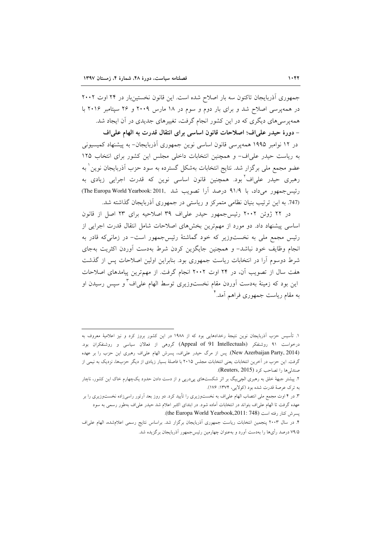$\overline{a}$ 

جمهوري آذربايجان تاكنون سه بار اصلاح شده است. اين قانون نخستينبار در ٢۴ اوت ٢٠٠٢ در همه پرسی اصلاح شد و برای بار دوم و سوم در ۱۸ مارس ۲۰۰۹ و ۲۶ سپتامبر ۲۰۱۶ با همهپرسیهای دیگری که در این کشور انجام گرفت، تغییرهای جدیدی در آن ایجاد شد. – دورهٔ حیدر علیاف؛ اصلاحات قانون اساسی برای انتقال قدرت به الهام علیاف ادر ۱۲ نوامبر ۱۹۹۵ همه پرسی قانون اساسی نوین جمهوری آذربایجان– به پیشنهاد کمیسیونی به رياست حيدر على اف- و همچنين انتخابات داخلي مجلس اين كشور براى انتخاب ١٢٥ عضو مجمع مل<sub>ی</sub> برگزار شد. نتایج انتخابات بهشکل گسترده به سود حزب آذربایجان نوین<sup>۱</sup> به رهبری حیدر علیاف<sup>۲</sup>بود. همچنین قانون اساسی نوین که قدرت اجرایی زیادی به رئيس جمهور مي داد، با ٩١/٩ درصد آرا تصويب شد .2011:The Europa World Yearbook: 2011, (747. به این ترتیب بنیان نظامی متمرکز و ریاستی در جمهوری آذربایجان گذاشته شد.

در ۲۲ ژوئن ۲۰۰۲ رئیس جمهور حیدر علی اف ۳۹ اصلاحیه برای ۲۳ اصل از قانون اساسی پیشنهاد داد. دو مورد از مهمترین بخشهای اصلاحات شامل انتقال قدرت اجرایی از رئیس مجمع ملی به نخستوزیر که خود گماشتهٔ رئیس جمهور است- در زمانی که قادر به انجام وظایف خود نباشد– و همچنین جایگزین کردن شرط بهدست آوردن اکثریت بهجای شرط دوسوم آرا در انتخابات ریاست جمهوری بود. بنابراین اولین اصلاحات پس از گذشت هفت سال از تصویب ان، در ۲۴ اوت ۲۰۰۲ انجام گرفت. از مهمترین پیامدهای اصلاحات این بود که زمینهٔ بهدست اَوردن مقام نخستوزیری توسط الهام علیاف<sup>۳</sup> و سپس رسیدن او به مقام ریاست جمهوری فراهم آمد.<sup>۴</sup>

١. تأسيس حزب آذربايجان نوين نتيجهٔ رخدادهايي بود كه از ١٩٨٨ در اين كشور بروز كرد و نيز اعلاميهٔ معروف به درخواست ۹۱ روشنفکر (Appeal of 91 Intellectuals) گروهی از فعالان سیاسی و روشنفکران بود. (New Azerbaijan Party, 2014). پس از مرگ حیدر علیاف، پسرش الهام علیاف رهبری این حزب را بر عهده گرفت. این حزب در اخرین انتخابات یعنی انتخابات مجلس ۲۰۱۵ با فاصلهٔ بسیار زیادی از دیگر حزبها، نزدیک به نیمی از  $R$ euters, 2015). صندلي ها را تصاحب كرد

۲. پیشتر جبههٔ خلق به رهبری الچیبیگ بر اثر شکستهای پیدرپی و از دست دادن حدود یکچهارم خاک این کشور، ناچار به ترک عرصهٔ قدرت شده بود (کولایی، ۱۳۷۴: ۱۷۶).

۳. در ۴ اوت مجمع ملی انتصاب الهام علیlف به نخستوزیری را تأیید کرد. دو روز بعد اَرتور راسیزاده نخستوزیری را بر عهده گرفت تا الهام علىاف بتواند در انتخابات اماده شود. در ابتداى اكتبر اعلام شد حيدر علىاف بهطور رسمى به سود .<br>پسرش کنار رفته است (the Europa World Yearbook,2011: 748).

۴. در سال ۲۰۰۳ پنجمین انتخابات ریاست جمهوری آذربایجان برگزار شد. براساس نتایج رسمی اعلامشده، الهام عل<sub>ما</sub>ف ۷۹/۵ درصد رأىها را بهدست آورد و بهعنوان چهارمين رئيس جمهور آذربايجان برگزيده شد.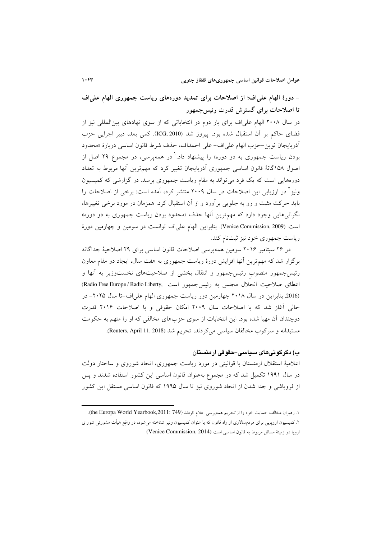– دورهٔ الهام علیاف؛ از اصلاحات برای تمدید دورههای ریاست جمهوری الهام علیاف تا اصلاحات برای گسترش قدرت رئیس جمهور

در سال ۲۰۰۸ الهام علیاف برای بار دوم در انتخاباتی که از سوی نهادهای بینالمللی نیز از فضاي حاكم بر أن استقبال شده بود، پيروز شد (ICG, 2010). كمي بعد، دبير اجرايي حزب أذربايجان نوين-حزب الهام على اف- على احمداف، حذف شرط قانون اساسي دربارة «محدود بودن ریاست جمهوری به دو دوره» را پیشنهاد داد.<sup>۱</sup> در همهپرسی، در مجموع ۲۹ اصل از اصول ۱۵۸گانهٔ قانون اساسی جمهوری آذربایجان تغییر کرد که مهمترین آنها مربوط به تعداد دورههایی است که یک فرد می تواند به مقام ریاست جمهوری برسد. در گزارشی که کمیسیون ونیز ٔ در ارزیابی این اصلاحات در سال ۲۰۰۹ منتشر کرد، آمده است: برخی از اصلاحات را باید حرکت مثبت و رو به جلویی برآورد و از آن استقبال کرد. همزمان در مورد برخی تغییرها، نگرانی هایی وجود دارد که مهمترین آنها حذف «محدود بودن ریاست جمهوری به دو دوره» است (Venice Commission, 2009). بنابراين الهام علىاف توانست در سومين و چهارمين دورهٔ ریاست جمهوری خود نیز ثبتنام کند.

در ۲۶ سپتامبر ۲۰۱۶ سومین همهپرسی اصلاحات قانون اساسی برای ۲۹ اصلاحیهٔ جداگانه برگزار شد که مهمترین آنها افزایش دورهٔ ریاست جمهوری به هفت سال، ایجاد دو مقام معاون رئیسجمهور منصوب رئیسجمهور و انتقال بخشی از صلاحیتهای نخستوزیر به آنها و اعطاى صلاحيت انحلال مجلس به رئيس جمهور است ,Radio Free Europe / Radio Liberty) (2016. بنابراین در سال ۲۰۱۸ چهارمین دور ریاست جمهوری الهام علیاف-تا سال ۲۰۲۵- در حالي آغاز شد كه با اصلاحات سال ٢٠٠٩ امكان حقوقي و با اصلاحات ٢٠١۶ قدرت دوچندان آن مهیا شده بود. این انتخابات از سوی حزبهای مخالفی که او را متهم به حکومت مستبدانه و سركوب مخالفان سياسي مي كردند، تحريم شد (Reuters, April 11, 2018).

### ب) دگرگوئےهای سیاسی–حقوقی ارمنستان

اعلامیهٔ استقلال ارمنستان با قوانینی در مورد ریاست جمهوری، اتحاد شوروی و ساختار دولت در سال ۱۹۹۱ تکمیل شد که در مجموع بهعنوان قانون اساسی این کشور استفاده شدند و پس از فروپاشی و جدا شدن از اتحاد شوروی نیز تا سال ۱۹۹۵ که قانون اساسی مستقل این کشور

١. رهبران مخالف حمايت خود را از تحريم همهپرسي اعلام كردند (the Europa World Yearbook,2011: 749). ۲. کمیسیون اروپایی برای مردمسالاری از راه قانون که با عنوان کمیسیون ونیز شناخته می شود، در واقع هیأت مشورتی شورای ارويا در زمينهٔ مسائل مربوط به قانون اساسي است (Venice Commission, 2014).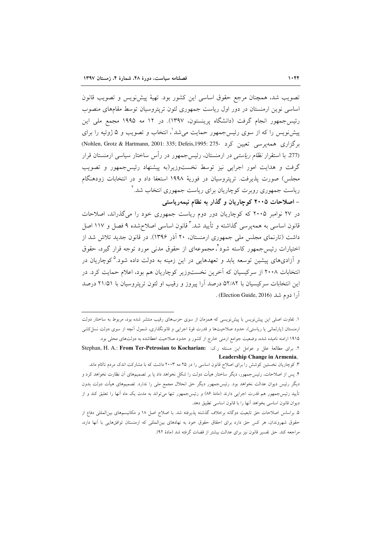تصويب شد، همچنان مرجع حقوق اساسي اين كشور بود. تهيهٔ پيشiويس و تصويب قانون اساسی نوین ارمنستان در دور اول ریاست جمهوری لئون تریتروسیان توسط مقامهای منصوب رئيس جمهور انجام گرفت (دانشگاه پرينستون، ١٣٩٧). در ١٢ مه ١٩٩٥ مجمع ملي اين پیشنویس را که از سوی رئیس جمهور حمایت میشد ْ، انتخاب و تصویب و ۵ ژوئیه را برای برگزاری همه پرسی تعیین کرد -275: Nohlen, Grotz & Hartmann, 2001: 335; Defeis,1995: 275) (277. با استقرار *نظام ریاستی* در ارمنستان، رئیس جمهور در رأس ساختار سیاسی ارمنستان قرار گرفت و هدایت امور اجرایی نیز توسط نخستوزیر(به پیشنهاد رئیس جمهور و تصویب مجلس) صورت پذیرفت. تریتروسیان در فوریهٔ ۱۹۹۸ استعفا داد و در انتخابات زودهنگام ریاست جمهوری روبرت کوچاریان برای ریاست جمهوری انتخاب شد. آ

– اصلاحات ۲۰۰۵ کوچاریان و گذار به نظام نیمهریاستی

در ۲۷ نوامبر ۲۰۰۵ که کوچاریان دور دوم ریاست جمهوری خود را میگذراند، اصلاحات قانون اساسی به همهپرسی گذاشته و تأیید شد. ٌ قانون اساسی اصلاحشده ۹ فصل و ۱۱۷ اصل داشت (تارنمای مجلس ملی جمهوری ارمنستان، ۲۰ آذر ۱۳۹۶). در قانون جدید تلاش شد از اختیارات رئیس جمهور کاسته شود ٔ، مجموعهای از حقوق مدنی مورد توجه قرار گیرد، حقوق و آزادیهای پیشین توسعه یابد و تعهدهایی در این زمینه به دولت داده شود.<sup>0</sup>کوچاریان در انتخابات ۲۰۰۸ از سرکیسیان که آخرین نخستوزیر کوچاریان هم بود، اعلام حمایت کرد. در این انتخابات سرکیسیان با ۵۲/۸۲ درصد آرا پیروز و رقیب او لئون تریتروسیان با ۲۱/۵۱ درصد آرا دوم شد (Election Guide, 2016) .

۱. تفاوت اصلی این پیش نویس با پیش نویسی که همزمان از سوی حزبهای رقیب منتشر شده بود، مربوط به ساختار دولت ارمنستان (پارلمانی یا ریاستی)، حدود صلاحیتها و قدرت قوهٔ اجرایی و قانونگذاری، شمول آنچه از سوی دولت نسل کشی ۱۹۱۵ ارامنه نامیده شده، وضعیت جوامع ارمنی خارج از کشور و حدود صلاحیت اعطاشده به دولتهای محلی بود.

٢. براى مطالعة علل و عوامل اين مسئله ر.ك: Stephan, H. A.: From Ter-Petrosian to Kocharian: Leadership Change in Armenia,

۳. کوچاریان نخستین کوشش را برای اصلاح قانون اساسی را در ۲۵ مه ۲۰۰۳ داشت که با مشارکت اندک مردم ناکام ماند. ۴. پس از اصلاحات، رئیسجمهور، دیگر ساختار هیأت دولت را شکل نخواهد داد یا بر تصمیمهای آن نظارت نخواهد کرد و دیگر رئیس دیوان عدالت نخواهد بود. رئیسجمهور دیگر حق انحلال مجمع ملی را ندارد. تصمیمهای هیأت دولت بدون تأیید رئیسجمهور هم قدرت اجرایی دارند (مادهٔ ۸۶) و رئیسجمهور تنها میٍتواند به مدت یک ماه اَنها را تعلیق کند و از ديوان قانون اساسي بخواهد آنها را با قانون اساسي تطبيق دهد.

۵. براساس اصلاحات حق تابعیت دوگانه برخلاف گذشته پذیرفته شد. با اصلاح اصل ۱۸ و مکانیسمهای بین|لمللی دفاع از حقوق شهروندان، هر كس حق دارد براى احقاق حقوق خود به نهادهاى بين المللي كه ارمنستان توافقهايي با أنها دارد، مراجعه كند. حق تفسير قانون نيز براي عدالت بيشتر از قضات گرفته شد (مادهٔ ۹۲).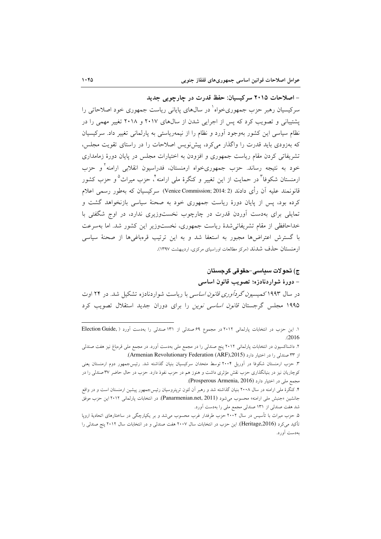- اصلاحات ۲۰۱۵ سرکیسیان: حفظ قدرت در چارچوبی جدید سرکیسیان رهبر حزب جمهوریخواه<sup>۱</sup> در سال0های پایانی ریاست جمهوری خود اصلاحاتی را پشتیبانی و تصویب کرد که پس از اجرایی شدن از سالهای ۲۰۱۷ و ۲۰۱۸ تغییر مهمی را در نظام سیاسی این کشور بهوجود آورد و نظام را از نیمهریاستی به پارلمانی تغییر داد. سرکیسیان که بهزودی باید قدرت را واگذار می کرد، پیش نویس اصلاحات را در راستای تقویت مجلس، تشریفاتی کردن مقام ریاست جمهوری و افزودن به اختیارات مجلس در پایان دورهٔ زمامداری خود به نتیجه رساند. حزب جمهوریخواه ارمنستان، فدراسیون انقلابی ارامنه و حزب ارمنستان شکوفا<sup>۳</sup> در حمایت از این تغییر و کنگرهٔ مل<sub>ی</sub> ارامنه <sup>۲</sup>، حزب میراث<sup>۵</sup>و حزب کشور قانونمند عليه أن رأى دادند (Venice Commission; 2014: 2) سركيسيان كه بهطور رسمي اعلام کرده بود، پس از پایان دورهٔ ریاست جمهوری خود به صحنهٔ سیاسی بازنخواهد گشت و تمایلی برای بهدست آوردن قدرت در چارچوب نخستوزیری ندارد، در اوج شگفتی با خداحافظی از مقام تشریفاتی شدهٔ ریاست جمهوری، نخستوزیر این کشور شد. اما بهسرعت با گسترش اعتراضها مجبور به استعفا شد و به این ترتیب قرهباغیها از صحنهٔ سیاسی ارمنستان حذف شدند (مرکز مطالعات اوراسیای مرکزی، اردیبهشت ۱۳۹۷).

## ج) تحولات سداسي-حقوقي گرجستان – دورهٔ شواردنادزه؛ تصویب قانون اساسی

در سال ۱۹۹۳کمیسی*ون گردآوری قانون اساسی* با ریاست شواردنادزه تشکیل شد. در ۲۴ اوت ۱۹۹۵ مجلس گرجستان قا*نون اساسی نوین* را برای دوران جدید استقلال تصویب کرد

١. اين حزب در انتخابات پارلماني ٢٠١٢ در مجموع ۶٩ صندلي از ١٣١ صندلي را بهدست أورد ( ,Election Guide  $(2016)$ 

۲. داشناکسیون در انتخابات پارلمانی ۲۰۱۲ پنج صندلی را در مجمع ملی بهدست آورد. در مجمع ملی قرمباغ نیز هفت صندلی از ٣٣ صندلي را در اختيار دارد (Armenian Revolutionary Federation (ARF),2015).

۳. حزب ارمنستان شکوفا در آوریل ۲۰۰۴ توسط متحدان سرکیسیان بنیان گذاشته شد. رئیسجمهور دوم ارمنستان یعنی کوچاریان نیز در بنیانگذاری حزب نقش مؤثری داشت و هنوز هم در حزب نفوذ دارد. حزب در حال حاضر ۳۷ صندلی را در مجمع ملي در اختيار دارد (Prosperous Armenia, 2016).

۴. کنگرهٔ ملی ارامنه در سال ۲۰۰۸ بنیان گذاشته شد و رهبر آن لئون تریتروسیان رئیس جمهور پیشین ارمنستان است و در واقع جانشين «جنبش ملي ارامنه» محسوب مي شود (Panarmenian.net, 2011). در انتخابات پارلماني ٢٠١٢ اين حزب موفق شد هفت صندلی از ۱۳۱ صندلی مجمع ملی را بهدست آورد.

۵. حزب میراث با تأسیس در سال ۲۰۰۲ حزب طرفدار غرب محسوب میشد و بر یکپارچگی در ساختارهای اتحادیهٔ اروپا تأكيد مي كرد (Heritage,2016). اين حزب در انتخابات سال ٢٠٠٧ هفت صندلي و در انتخابات سال ٢٠١٢ پنج صندلي را پەدىيت آورد.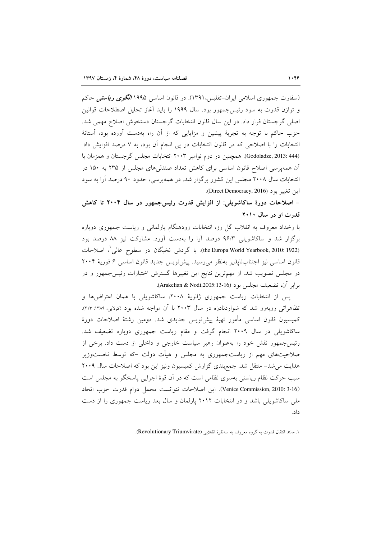(سفارت جمهوری اسلامی ایران–تفلیس،۱۳۹۱). در قانون اساسی ۱۹۹۵ *الگوی ریاستی* حاکم و توازن قدرت به سود رئیس جمهور بود. سال ۱۹۹۹ را باید أغاز تحلیل اصطلاحات قوانین اصلی گرجستان قرار داد. در این سال قانون انتخابات گرجستان دستخوش اصلاح مهمی شد. حزب حاکم با توجه به تجربهٔ پیشین و مزایایی که از آن راه بهدست آورده بود، آستانهٔ انتخابات را با اصلاحی که در قانون انتخابات در پی انجام آن بود، به ۷ درصد افزایش داد (Godoladze, 2013: 444). همچنین در دوم نوامبر ۲۰۰۳ انتخابات مجلس گرجستان و همزمان با آن همه پرسی اصلاح قانون اساسی برای کاهش تعداد صندلی های مجلس از ۲۳۵ به ۱۵۰ در انتخابات سال ۲۰۰۸ مجلس این کشور برگزار شد. در همهپرسی، حدود ۹۰ درصد آرا به سود اين تغيير بود (Direct Democracy, 2016).

– اصلاحات دورهٔ ساکاشویلی: از افزایش قدرت رئیس جمهور در سال ۲۰۰۴ تا کاهش قدرت او در سال ۲۰۱۰

با رخداد معروف به انقلاب گل رز، انتخابات زودهنگام پارلمانی و ریاست جمهوری دوباره برگزار شد و ساکاشویلی ۹۶/۳ درصد آرا را بهدست آورد. مشارکت نیز ۸۸ درصد بود (the Europa World Yearbook, 2010: 1922). با گردش نخبگان در سطوح عالی'، اصلاحات قانون اساسی نیز اجتنابناپذیر بهنظر میرسید. پیشنویس جدید قانون اساسی ۶ فوریهٔ ۲۰۰۴ در مجلس تصویب شد. از مهمترین نتایج این تغییرها گسترش اختیارات رئیسجمهور و در برابر آن، تضعیف مجلس بود (Arakelian & Nodi,2005:13-16).

پس از انتخابات ریاست جمهوری ژانویهٔ ۲۰۰۸، ساکاشویلی با همان اعتراضها و تظاهراتی روبهرو شد که شواردنادزه در سال ۲۰۰۳ با آن مواجه شده بود (کولایی، ۱۳۸۹: ۲۱۳). كميسيون قانون اساسى مأمور تهيهٔ پيشiويس جديدى شد. دومين رشتهٔ اصلاحات دورهٔ ساکاشویلی در سال ۲۰۰۹ انجام گرفت و مقام ریاست جمهوری دوباره تضعیف شد. رئیس جمهور نقش خود را بهعنوان رهبر سیاست خارجی و داخلی از دست داد. برخی از صلاحیتهای مهم از ریاستجمهوری به مجلس و هیأت دولت –که توسط نخستوزیر هدایت می شد– منتقل شد. جمع بندی گزارش کمیسیون ونیز این بود که اصلاحات سال ۲۰۰۹ سبب حرکت نظام ریاستی بهسوی نظامی است که در آن قوهٔ اجرایی پاسخگو به مجلس است (Venice Commission, 2010: 3-16). این اصلاحات نتوانست محمل دوام قدرت حزب اتحاد ملی ساکاشویلی باشد و در انتخابات ۲۰۱۲ پارلمان و سال بعد ریاست جمهوری را از دست  $\rightarrow$ 

١. مانند انتقال قدرت به گروه معروف به سهنفرهٔ انقلابي (Revolutionary Triumvirate).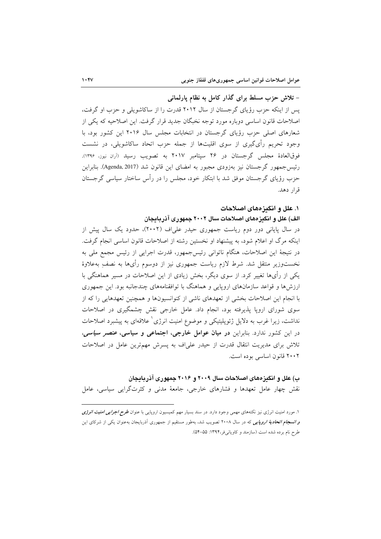– تلاش حزب مسلط برای گذار کامل به نظام پارلمانی

یس از اینکه حزب رؤیای گرجستان از سال ۲۰۱۲ قدرت را از ساکاشویلی و حزب او گرفت، اصلاحات قانون اساسی دوباره مورد توجه نخبگان جدید قرار گرفت. این اصلاحیه که یکی از شعارهای اصلی حزب رؤیای گرجستان در انتخابات مجلس سال ۲۰۱۶ این کشور بود، با وجود تحریم رأیگیری از سوی اقلیتها از جمله حزب اتحاد ساکاشویلی، در نشست فوقالعادهٔ مجلس گرجستان در ۲۶ سیتامبر ۲۰۱۷ به تصویب رسید (آران نیوز، ۱۳۹۶). رئيس جمهور گرجستان نيز بهزودي مجبور به امضاي اين قانون شد (Agenda, 2017). بنابراين حزب رؤیای گرجستان موفق شد با ابتکار خود، مجلس را در رأس ساختار سیاسی گرجستان قرار دهد.

### ۱. علل و انگیزههای اصلاحات

## الف) علل و انگیزههای اصلاحات سال ۲۰۰۲ جمهوری آذربایجان

در سال پایانی دور دوم ریاست جمهوری حیدر علیاف (۲۰۰۲)، حدود یک سال پیش از اینکه مرگ او اعلام شود، به پیشنهاد او نخستین رشته از اصلاحات قانون اساسی انجام گرفت. در نتيجة اين اصلاحات، هنگام ناتواني رئيس جمهور، قدرت اجرايي از رئيس مجمع ملي به نخستوزیر منتقل شد. شرط لازم ریاست جمهوری نیز از دوسوم رأی ها به نصف بهعلاوهٔ یکی از رأیها تغییر کرد. از سوی دیگر، بخش زیادی از این اصلاحات در مسیر هماهنگی با ارزشها و قواعد سازمانهای اروپایی و هماهنگ با توافقنامههای چندجانبه بود. این جمهوری با انجام این اصلاحات بخشی از تعهدهای ناشی از کنوانسیونها و همچنین تعهدهایی را که از سوی شورای اروپا پذیرفته بود، انجام داد. عامل خارجی نقش چشمگیری در اصلاحات نداشت، زیرا غرب به دلایل ژئوپلیتیکی و موضوع امنیت انرژی ٔ علاقهای به پیشبرد اصلاحات در این کشور ندارد. بنابراین در میان عوامل خارجی، اجتماعی و سیاسی، عنصر *سیاسی*، تلاش برای مدیریت انتقال قدرت از حیدر علیاف به پسرش مهمترین عامل در اصلاحات ٢٠٠٢ قانون اساسي بوده است.

ب) علل و انگیزههای اصلاحات سال ۲۰۰۹ و ۲۰۱۶ جمهوری آذر یابجان نقش چهار عامل تعهدها و فشارهای خارجی، جامعهٔ مدنی و کثرتگرایی سیاسی، عامل

۱. مورد امنیت انرژی نیز نکتههای مهمی وجود دارد. در سند بسیار مهم کمیسیون اروپایی با عنوان *طرح اجرایی امنیت انرژی و انسجام اتحادیهٔ اروپایی* که در سال ۲۰۰۸ تصویب شد، بهطور مستقیم از جمهوری آذربایجان بهعنوان یکی از شرکای این طرح نام برده شده است (سازمند و کاویانی فر،۱۳۹۴: ۵۵–۵۴).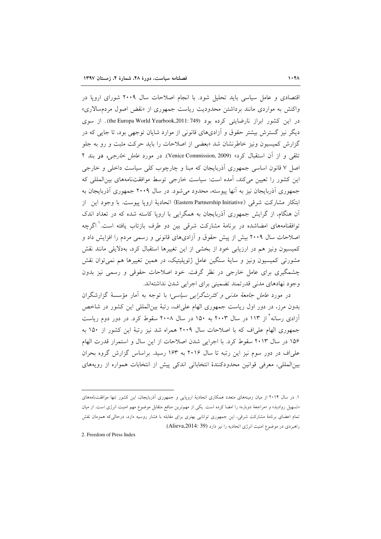اقتصادی و عامل سیاسی باید تحلیل شود. با انجام اصلاحات سال ۲۰۰۹ شورای اروپا در واکنش به مواردی مانند برداشتن محدودیت ریاست جمهوری از «نقض اصول مردمسالاری» در این کشور ابراز نارضایتی کرده بود (he Europa World Yearbook,2011: 749). از سوی دیگر نیز گسترش بیشتر حقوق و آزادیهای قانونی از موارد شایان توجهی بود، تا جایی که در گزارش کمیسیون ونیز خاطرنشان شد «بعضی از اصلاحات را باید حرکت مثبت و رو به جلو تلقی و از آن استقبال کرد» (Venice Commission, 2009). در مورد *عامل خارجی،* در بند ۲ اصل ۷ قانون اساسی جمهوری آذربایجان که مبنا و چارچوب کلی سیاست داخلی و خارجی این کشور را تعیین میکند، امده است: سیاست خارجی توسط موافقتنامههای بینالمللی که جمهوري أذربايجان نيز به أنها ييوسته، محدود مي شود. در سال ٢٠٠٩ جمهوري أذربايجان به ابتكار مشاركت شرقي (Eastern Partnership Initiative) اتحادية ارويا ييوست. با وجود اين از آن هنگام، از گرایش جمهوری آذربایجان به همگرایی با اروپا کاسته شده که در تعداد اندک توافقنامههای امضاشده در برنامهٔ مشارکت شرقی بین دو طرف بازتاب یافته است.<sup>۱</sup> اگرچه اصلاحات سال ۲۰۰۹ بیش از پیش حقوق و ازادیهای قانونی و رسمی مردم را افزایش داد و كميسيون ونيز هم در ارزيابي خود از بخشي از اين تغييرها استقبال كرد، بهدلايلي مانند نقش مشورتی کمیسیون ونیز و سایهٔ سنگین عامل ژئوپلیتیک، در همین تغییرها هم نمی توان نقش چشمگیری برای عامل خارجی در نظر گرفت. خود اصلاحات حقوقی و رسمی نیز بدون وجود نهادهای مدنی قدرتمند تضمینی برای اجرایی شدن نداشتهاند.

در مورد *عامل جامعهٔ مدنبی و کثرتگرایبی سیاسی*؛ با توجه به آمار مؤسسهٔ گزارشگران بدون مرز، در دور اول ریاست جمهوری الهام علیاف، رتبهٔ بینالمللی این کشور در شاخص آزادی رسانه ٔ از ۱۱۳ در سال ۲۰۰۳ به ۱۵۰ در سال ۲۰۰۸ سقوط کرد. در دور دوم ریاست جمهوري الهام علي اف كه با اصلاحات سال ٢٠٠٩ همراه شد نيز رتبهٔ اين كشور از ١٥٠ به ۱۵۶ در سال ۲۰۱۳ سقوط کرد. با اجرایی شدن اصلاحات از این سال و استمرار قدرت الهام علی اف در دور سوم نیز این رتبه تا سال ۲۰۱۶ به ۱۶۳ رسید. براساس گزارش گروه بحران بین|لمللی، معرفی قوانین محدودکنندهٔ انتخاباتی اندکی پیش از انتخابات همواره از رویههای

2. Freedom of Press Index

 $\overline{a}$ 

۱. در سال ۲۰۱۴ از میان زمینههای متعدد همکاری اتحادیهٔ اروپایی و جمهوری اذربایجان، این کشور تنها موافقتنامههای «تسهیل روادید» و «مراجعهٔ دوباره» را امضا کرده است. یکی از مهمترین منافع متقابل موضوع مهم امنیت انرژی است. از میان تمام اعضای برنامهٔ مشارکت شرقی، این جمهوری توانایی بهتری برای مقابله با فشار روسیه دارد، درحالی6ه همزمان نقش راهبردي در موضوع امنيت انرژي اتحاديه را نيز دارد (Alieva,2014: 39).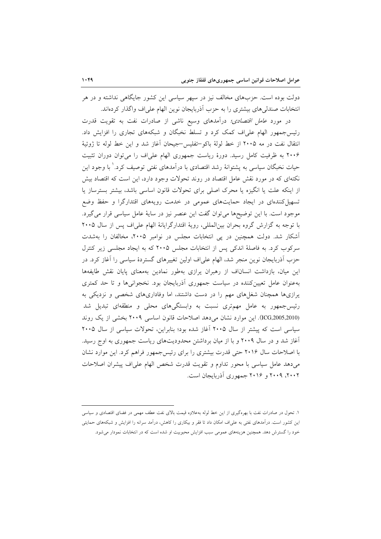دولت بوده است. حزبهای مخالف نیز در سیهر سیاسی این کشور جایگاهی نداشته و در هر انتخابات صندلی های بیشتری را به حزب آذربایجان نوین الهام علی اف واگذار کر دهاند.

در مورد *عامل اقتصادی؛* درآمدهای وسیع ناشی از صادرات نفت به تقویت قدرت رئیس جمهور الهام علی اف کمک کرد و تسلط نخبگان و شبکههای تجاری را افزایش داد. انتقال نفت در مه ۲۰۰۵ از خط لولهٔ باکو–تفلیس-جیحان آغاز شد و این خط لوله تا ژوئیهٔ ۲۰۰۶ به ظرفیت کامل رسید. دورهٔ ریاست جمهوری الهام علی اف را می توان دوران تثبیت حیات نخبگان سیاسی به پشتوانهٔ رشد اقتصادی با درآمدهای نفتی توصیف کرد.<sup>\</sup> با وجود این نکتهای که در مورد نقش عامل اقتصاد در روند تحولات وجود دارد، این است که اقتصاد بیش از اینکه علت یا انگیزه یا محرک اصلی برای تحولات قانون اساسی باشد، بیشتر بسترساز یا تسهیل کنندهای در ایجاد حمایتهای عمومی در خدمت رویههای اقتدارگرا و حفظ وضع موجود است. با این توضیحها می توان گفت این عنصر نیز در سایهٔ عامل سیاسی قرار می گیرد. با توجه به گزارش گروه بحران بینالمللی، رویهٔ اقتدارگرایانهٔ الهام علیاف پس از سال ۲۰۰۵ آشکار شد. دولت همچنین در پی انتخابات مجلس در نوامبر ۲۰۰۵، مخالفان را بهشدت سرکوب کرد. به فاصلهٔ اندکی پس از انتخابات مجلس ۲۰۰۵ که به ایجاد مجلسی زیر کنترل حزب آذربایجان نوین منجر شد، الهام علیاف اولین تغییرهای گستردهٔ سیاسی را آغاز کرد. در این میان، بازداشت انساناف از رهبران پرازی بهطور نمادین بهمعنای پایان نقش طایفهها بهعنوان عامل تعیینکننده در سیاست جمهوری آذربایجان بود. نخجوانیها و تا حد کمتری یرازیها همچنان شغلهای مهم را در دست داشتند، اما وفاداریهای شخصی و نزدیکی به رئیس جمهور به عامل مهمتری نسبت به وابستگیهای محلی و منطقهای تبدیل شد (ICG,2005,2010). این موارد نشان میدهد اصلاحات قانون اساسی ۲۰۰۹ بخشی از یک روند سیاسی است که پیشتر از سال ۲۰۰۵ آغاز شده بود؛ بنابراین، تحولات سیاسی از سال ۲۰۰۵ آغاز شد و در سال ۲۰۰۹ و با از میان برداشتن محدودیتهای ریاست جمهوری به اوج رسید. با اصلاحات سال ۲۰۱۶ حتی قدرت بیشتری را برای رئیس جمهور فراهم کرد. این موارد نشان می دهد عامل سیاسی با محور تداوم و تقویت قدرت شخص الهام علی اف پیشران اصلاحات ۲۰۰۲، ۲۰۰۹ و ۲۰۱۶ جمهوری آذربایجان است.

١. تحول در صادرات نفت با بهرهگیری از این خط لوله بهعلاوه قیمت بالای نفت عطف مهمی در فضای اقتصادی و سیاسی این کشور است. درآمدهای نفتی به علیاف امکان داد تا فقر و بیکاری را کاهش، درآمد سرانه را افزایش و شبکههای حمایتی .<br>خود را گسترش دهد. همچنین هزینههای عمومی سبب افزایش محبوبیت او شده است که در انتخابات نمودار می شود.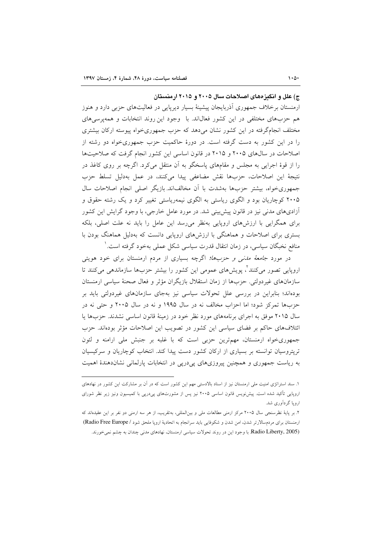ج) علل و انگیزههای اصلاحات سال ۲۰۰۵ و ۲۰۱۵ ارمنستان

ارمنستان برخلاف جمهوری اَذربایجان پیشینهٔ بسیار دیرپایی در فعالیتهای حزبی دارد و هنوز هم حزبهای مختلفی در این کشور فعالیاند. با وجود این روند انتخابات و همه پرسی های مختلف انجامگرفته در این کشور نشان می دهد که حزب جمهوری خواه پیوسته ارکان بیشتری را در این کشور به دست گرفته است. در دورهٔ حاکمیت حزب جمهوریخواه دو رشته از اصلاحات در سال های ۲۰۰۵ و ۲۰۱۵ در قانون اساسی این کشور انجام گرفت که صلاحیتها را از قوهٔ اجرایی به مجلس و مقامهای پاسخگو به آن منتقل می کرد. اگرچه بر روی کاغذ در نتيجة اين اصلاحات، حزبها نقش مضاعفى پيدا مى كنند، در عمل بهدليل تسلط حزب جمهوري خواه، بيشتر حزبها بهشدت با أن مخالفاند. بازيگر اصلي انجام اصلاحات سال ۲۰۰۵ کوچاریان بود و الگوی ریاستی به الگوی نیمهریاستی تغییر کرد و یک رشته حقوق و آزادیهای مدنی نیز در قانون پیش بینی شد. در مورد عامل خارجی، با وجود گرایش این کشور برای همگرایی با ارزشهای اروپایی بهنظر میرسد این عامل را باید نه علت اصلی، بلکه بستری برای اصلاحات و هماهنگی با ارزش های اروپایی دانست که بهدلیل هماهنگ بودن با منافع نخبگان سیاسی، در زمان انتقال قدرت سیاسی شکل عملی بهخود گرفته است. ٰ

در مورد *جامعهٔ مدنی و حزبها؛* اگرچه بسیاری از مردم ارمنستان برای خود هویتی اروپایی تصور میکنند ٌ، پویشهای عمومی این کشور را بیشتر حزبها سازماندهی میکنند تا سازمانهای غیردولتی. حزبها از زمان استقلال بازیگران مؤثر و فعال صحنهٔ سیاسی ارمنستان بودهاند؛ بنابراین در بررسی علل تحولات سیاسی نیز بهجای سازمانهای غیردولتی باید بر حزبها تمرکز شود؛ اما احزاب مخالف نه در سال ۱۹۹۵ و نه در سال ۲۰۰۵ و حتی نه در سال ۲۰۱۵ موفق به اجرای برنامههای مورد نظر خود در زمینهٔ قانون اساسی نشدند. حزبها یا ائتلافهای حاکم بر فضای سیاسی این کشور در تصویب این اصلاحات مؤثر بودهاند. حزب جمهوریخواه ارمنستان، مهمترین حزبی است که با غلبه بر جنبش ملی ارامنه و لئون تریتروسیان توانسته بر بسیاری از ارکان کشور دست پیدا کند. انتخاب کوچاریان و سرکیسیان به ریاست جمهوری و همچنین پیروزیهای پیدرپی در انتخابات پارلمانی نشاندهندهٔ اهمیت

۲. بر پایهٔ نظرسنجی سال ۲۰۰۵ مرکز ارمنی مطالعات ملی و بینالمللی، بهتقریب، از هر سه ارمنی دو نفر بر این عقیدهاند که ارمنستان برای مردم سالارتر شدن، امن شدن و شکوفایی باید سرانجام به اتحادیهٔ اروپا ملحق شود / Radio Free Europe) (Radio Liberty, 2005. با وجود این در روند تحولات سیاسی ارمنستان، نهادهای مدنی چندان به چشم نمی خورند.

۱. سند استراتژی امنیت ملی ارمنستان نیز از اسناد بالادستی مهم این کشور است که در آن بر مشارکت این کشور در نهادهای اروپایی تأکید شده است. پیش نویس قانون اساسی ۲۰۰۵ نیز پس از مشورتهای پیدرپی با کمیسیون ونیز زیر نظر شورای اروپا گردآوری شد.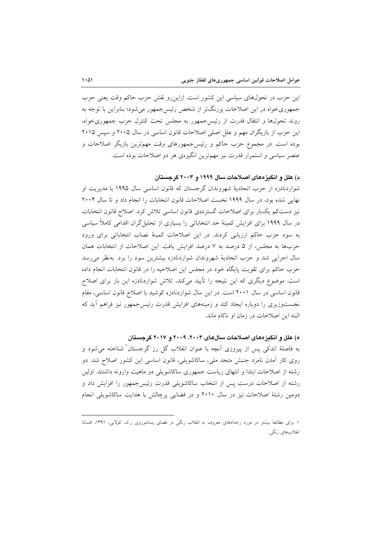این حزب در تحولهای سیاسی این کشور است. ازاین رو نقش حزب حاکم وقت یعنی حزب جمهوریخواه در این اصلاحات پررنگتر از شخص رئیس جمهور می شود؛ بنابراین با توجه به روند تحولها و انتقال قدرت از رئیس جمهور به مجلس تحت کنترل حزب جمهوری خواه، این حزب از بازیگران مهم و علل اصلی اصلاحات قانون اساسی در سال ۲۰۰۵ و سپس ۲۰۱۵ بوده است. در مجموع حزب حاکم و رئیسجمهورهای وقت مهمترین بازیگر اصلاحات و عنصر سیاسی و استمرار قدرت نیز مهمترین انگیزهی هر دو اصلاحات بوده است.

### د) علل و انگیز مهای اصلاحات سال ۱۹۹۹ و ۲۰۰۳ گرجستان

شواردنادزه از حزب اتحادیهٔ شهروندان گرجستان که قانون اساسی سال ۱۹۹۵ با مدیریت او نهایی شده بود، در سال ۱۹۹۹ نخست اصلاحات قانون انتخابات را انجام داد و تا سال ۲۰۰۴ نیز دستکم یکبار برای اصلاحات گستردهی قانون اساسی تلاش کرد. اصلاح قانون انتخابات در سال ۱۹۹۹ برای افزایش کمینهٔ حد انتخاباتی را بسیاری از تحلیل گران اقدامی کاملاً سیاسی به سود حزب حاکم ارزیابی کردند. در این اصلاحات کمینهٔ نصاب انتخاباتی برای ورود حزبها به مجلس، از ۵ درصد به ۷ درصد افزایش یافت. این اصلاحات از انتخابات همان سال اجرایی شد و حزب اتحادیهٔ شهروندان شواردنادزه بیشترین سود را برد. بهنظر می رسد حزب حاکم برای تقویت پایگاه خود در مجلس این اصلاحیه را در قانون انتخابات انجام داده است. موضوع دیگری که این نتیجه را تأیید میکند، تلاش شواردنادزه این بار برای اصلاح قانون اساسی در سال ۲۰۰۱ است. در این سال شواردنادزه کوشید با اصلاح قانون اساسی، مقام نخستوزیری را دوباره ایجاد کند و زمینههای افزایش قدرت رئیس جمهور نیز فراهم أید که البته این اصلاحات در زمان او ناکام ماند.

### ه) علل و انگیز مهای اصلاحات سال های ۲۰۰۴، ۲۰۰۹ و ۲۰۱۷ گرجستان

به فاصلهٔ اندکی پس از پیروزی آنچه با عنوان انقلاب گل رز گرجستان شناخته میشود و روی کار آمدن نامزد جنبش متحد ملی، ساکاشویلی، قانون اساسی این کشور اصلاح شد. دو رشته از اصلاحات ابتدا و انتهای ریاست جمهوری ساکاشویلی دو ماهیت وارونه داشتند. اولین رشته از اصلاحات درست پس از انتخاب ساکاشویلی قدرت رئیس جمهور را افزایش داد و دومین رشتهٔ اصلاحات نیز در سال ۲۰۱۰ و در فضایی پرچالش با هدایت ساکاشویلی انجام

۱. برای مطالعهٔ بیشتر در مورد رخدادهای معروف به انقلاب رنگی در فضای پساشوروی ر.ک: کولایی، ۱۳۹۱، افسانهٔ انقلابهاي رنگي.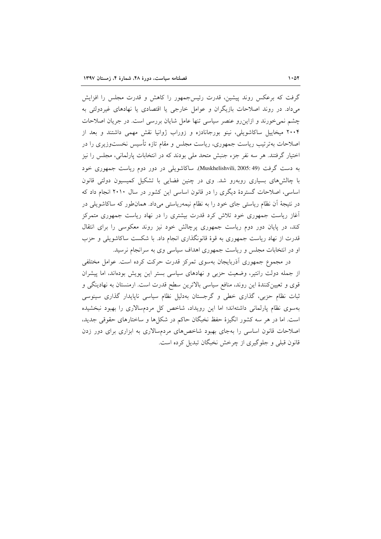گرفت که برعکس روند پیشین، قدرت رئیس جمهور را کاهش و قدرت مجلس را افزایش می داد. در روند اصلاحات بازیگران و عوامل خارجی یا اقتصادی یا نهادهای غیردولتی به چشم نمی خورند و ازاین رو عنصر سیاسی تنها عامل شایان بررسی است. در جریان اصلاحات ۲۰۰۴ میخاییل ساکاشویلی، نینو بورجانادزه و زوراب ژوانیا نقش مهمی داشتند و بعد از اصلاحات بهترتیب ریاست جمهوری، ریاست مجلس و مقام تازه تأسیس نخستوزیری را در اختیار گرفتند. هر سه نفر جزء جنبش متحد ملی بودند که در انتخابات پارلمانی، مجلس را نیز به دست گرفت (Muskhelishvili, 2005: 49). ساكاشويلي در دور دوم رياست جمهوري خود با چالشهای بسیاری روبهرو شد. وی در چنین فضایی با تشکیل کمیسیون دولتی قانون اساسی، اصلاحات گستردهٔ دیگری را در قانون اساسی این کشور در سال ۲۰۱۰ انجام داد که در نتیجهٔ آن نظام ریاستی جای خود را به نظام نیمهریاستی میداد. همانطور که ساکاشویلی در آغاز ریاست جمهوری خود تلاش کرد قدرت بیشتری را در نهاد ریاست جمهوری متمرکز کند، در پایان دور دوم ریاست جمهوری پرچالش خود نیز روند معکوسی را برای انتقال قدرت از نهاد ریاست جمهوری به قوهٔ قانونگذاری انجام داد. با شکست ساکاشویلی و حزب او در انتخابات مجلس و ریاست جمهوری اهداف سیاسی وی به سرانجام نرسید.

در مجموع جمهوری آذربایجان بهسوی تمرکز قدرت حرکت کرده است. عوامل مختلفی از جمله دولت رانتیر، وضعیت حزبی و نهادهای سیاسی بستر این پویش بودهاند، اما پیشران قوی و تعیین کنندهٔ این روند، منافع سیاسی بالاترین سطح قدرت است. ارمنستان به نهادینگی و ثبات نظام حزبی، گذاری خطی و گرجستان بهدلیل نظام سیاسی ناپایدار گذاری سینوسی بهسوی نظام پارلمانی داشتهاند؛ اما این رویداد، شاخص کل مردمسالاری را بهبود نبخشیده است. اما در هر سه کشور انگیزهٔ حفظ نخبگان حاکم در شکلها و ساختارهای حقوقی جدید، اصلاحات قانون اساسی را بهجای بهبود شاخصهای مردمسالاری به ابزاری برای دور زدن قانون قبلی و جلوگیری از چرخش نخبگان تبدیل کرده است.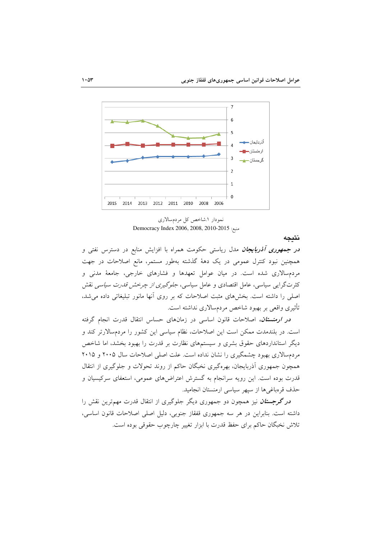

نمودار ۱شاخص کل مردمسالاری Democracy Index 2006, 2008, 2010-2015

نتىحە

*در جمهوری آذربایجان مد*ل ریاست<sub>ی</sub> حکومت همراه با افزایش منابع در دسترس نفتی و همچنین نبود کنترل عمومی در یک دههٔ گذشته بهطور مستمر، مانع اصلاحات در جهت مردمسالاری شده است. در میان عوامل تعهدها و فشارهای خارجی، جامعهٔ مدنی و کثرتگرایی سیاسی، عامل اقتصادی و عامل سیاسی، *جلوگیری از چرخش قدرت سیاسی* نقش اصلی را داشته است. بخشهای مثبت اصلاحات که بر روی آنها مانور تبلیغاتی داده می شد، تأثيري واقعي بر بهبود شاخص مردمسالاري نداشته است.

در ارمنستان، اصلاحات قانون اساسی در زمانهای حساس انتقال قدرت انجام گرفته است. در بلندمدت ممکن است این اصلاحات، نظام سیاسی این کشور را مردمسالارتر کند و دیگر استانداردهای حقوق بشری و سیستمهای نظارت بر قدرت را بهبود بخشد، اما شاخص مردمسالاری بهبود چشمگیری را نشان نداده است. علت اصلی اصلاحات سال ۲۰۰۵ و ۲۰۱۵ همچون جمهوری اَذربایجان، بهرهگیری نخبگان حاکم از روند تحولات و جلوگیری از انتقال .<br>قدرت بوده است. این رویه سرانجام به گسترش اعتراضهای عمومی، استعفای سرکیسیان و حذف قرهباغيها از سيهر سياسي ارمنستان انجاميد.

<mark>د*ر گرجستان* نیز همچون دو جمهوری دیگر جلوگیری از انتقال قدرت مهم<sub>ا</sub>ترین نقش را</mark> داشته است. بنابراین در هر سه جمهوری قفقاز جنوبی، دلیل اصلی اصلاحات قانون اساسی، تلاش نخبگان حاکم برای حفظ قدرت با ابزار تغییر چارچوب حقوقی بوده است.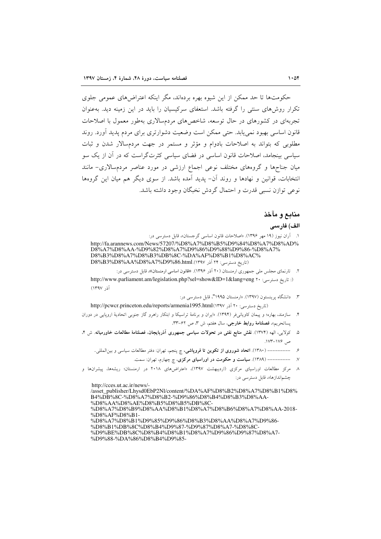حکومتها تا حد ممکن از این شیوه بهره بردهاند، مگر اینکه اعتراض های عمومی جلوی تکرار روش های سنتر را گرفته باشد. استعفای سرکسیان را باید در آین زمینه دید. بهعنوان تجربهای در کشورهای در حال توسعه، شاخصهای مردمسالاری بهطور معمول با اصلاحات قانون اساسی بهبود نمی پابد. حتی ممکن است وضعیت دشوارتری برای مردم پدید آورد. روند مطلوبی که بتواند به اصلاحات بادوام و مؤثر و مستمر در جهت مردمسالار شدن و ثبات سیاسی بینجامد، اصلاحات قانون اساسی در فضای سیاسی کثرتگر است که در آن از یک سو میان جناحها و گروههای مختلف نوعی اجماع ارزشی در مورد عناصر مردمسالاری- مانند انتخابات، قوانین و نهادها و روند آن- پدید آمده باشد. از سوی دیگر هم میان این گروهها نوعي توازن نسبي قدرت و احتمال گردش نخبگان وجود داشته باشد.

### منابع و مآخذ

#### الف) فارسى

١. أران نيوز (١٩ مهر ١٣٩۶). «اصلاحات قانون اساسي گرجستان»، قابل دسترسي در: http://fa.arannews.com/News/57207/%D8%A7%D8%B5%D9%84%D8%A7%D8%AD% D8%A7%D8%AA-%D9%82%D8%A7%D9%86%D9%88%D9%86-%D8%A7%

D8%B3%D8%A7%D8%B3%DB%8C-%DA%AF%D8%B1%D8%AC% (تاريخ دسترسي: ٢۴ آذر D8%B3%D8%AA%D8%A7%D9%86.html

۲. - تارنمای مجلس ملی جمهوری ارمنستان (۲۰ آذر ۱۳۹۶). «قانون اساسی ارمنستان»، قابل دسترسی در:

(: تاريخ دسترسي: ١٢٠ http://www.parliament.am/legislation.php?sel=show&ID=1&lang=eng آذ, ١٣٩٧)

۳. دانشگاه پرینستون (۱۳۹۷). «ارمنستان ۱۹۹۵"، قابل دسترسی در:

(تاريخ دسترسي: ٢٠ آذر http://pcwcr.princeton.edu/reports/armenia1995.html

- ۴. سازمند، بهاره؛ و پیمان کاویانی فر (۱۳۹۴). «ایران و برنامهٔ تراسیکا و ابتکار راهرو گاز جنوبی اتحادیهٔ اروپایی در دوران پساتحریم»، **فصلنامهٔ روابط خارجی**، سال هفتم، ش ۳، ص ۶۲–۳۳.
- ۵. كولايي، الهه (١٣٧۴). نقش منابع نفتي در تحولات سياسي جمهوري آذربايجان، فصلنامهٔ مطالعات خاورميانه. ش ۴، ص ۱۷۶–۱۷۴.
	- ۶. \_\_\_\_\_\_\_\_\_\_ (۱۳۸۰). اتحاد شوروی از تکوین تا فروپاشی، چ پنجم، تهران: دفتر مطالعات سیاسی و بینالمللی.
		- ۷. ---------- (۱۳۸۹). <mark>سیاست و حکومت در اوراسیای مرکزی،</mark> چ چهارم، تهران: سمت.
- ۸ مرکز مطالعات اوراسیای مرکزی (اردیبهشت ۱۳۹۷)، «اعتراضهای ۲۰۱۸ در ارمنستان؛ ریشهها، پیشرانها و چشماندازها»، قابل دسترسی در:

http://cces.ut.ac.ir/news/-

/asset\_publisher/Lhysd0EbP2Nl/content/%DA%AF%D8%B2%D8%A7%D8%B1%D8% B4%DB%8C-%D8%A7%D8%B2-%D9%86%D8%B4%D8%B3%D8%AA-%D8%AA%D8%AE%D8%B5%D8%B5%DB%8C-%D8%A7%D8%B9%D8%AA%D8%B1%D8%A7%D8%B6%D8%A7%D8%AA-2018-%D8%AF%D8%B1-%D8%A7%D8%B1%D9%85%D9%86%D8%B3%D8%AA%D8%A7%D9%86-%D8%B1%DB%8C%D8%B4%D9%87-%D9%87%D8%A7-%D8%8C-%D9%BE%DB%8C%D8%B4%D8%B1%D8%A7%D9%86%D9%87%D8%A7-%D9%88-%DA%86%D8%B4%D9%85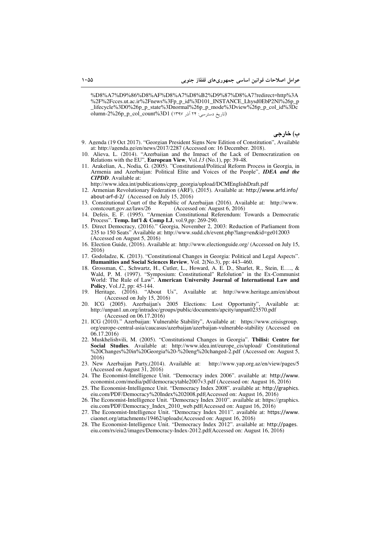%D8%A7%D9%86%D8%AF%D8%A7%D8%B2%D9%87%D8%A7?redirect=http%3A %2F%2Fcces.ut.ac.ir%2Fnews%3Fp\_p\_id%3D101\_INSTANCE\_Lhysd0EbP2Nl%26p\_p \_lifecycle%3D0%26p\_p\_state%3Dnormal%26p\_p\_mode%3Dview%26p\_p\_col\_id%3Dc  $\overline{\text{olumn-2\%26p\_p\_col}\text{_count\%3D1}}$  (١٣٩٧ ) اتاريخ دسترسي: ٢۴ آذر

**ب) خارجي** 

- 9. Agenda (19 Oct 2017). "Georgian President Signs New Edition of Constitution", Available at: http://agenda.ge/en/news/2017/2287 (Accessed on: 16 December. 2018).
- 10. Alieva, L. (2014). "Azerbaijan and the Impact of the Lack of Democratization on Relations with the EU", **European View**, Vol.*13* (No.1), pp: 39-48.
- 11. Arakelian, A., Nodia, G. (2005). "Constitutional/Political Reform Process in Georgia, in Armenia and Azerbaijan: Political Elite and Voices of the People", *IDEA and the CIPDD*. Available at:

http://www.idea.int/publications/cprp\_georgia/upload/DCMEnglishDraft.pdf

- 12. Armenian Revolutionary Federation (ARF), (2015). Available at: http://www.arfd.info/ about-arf-d-2/ (Accessed on July 15, 2016)
- 13. Constitutional Court of the Republic of Azerbaijan (2016). Available at: http://www. constcourt.gov.az/laws/26 (Accessed on: August 6, 2016)
- 14. Defeis, E. F. (1995). "Armenian Constitutional Referendum: Towards a Democratic Process". **Temp. Int'l & Comp LJ**, vol.9,pp: 269-290.
- 15. Direct Democracy, (2016)." Georgia, November 2, 2003: Reduction of Parliament from 235 to 150 Seats" Available at: http://www.sudd.ch/event.php?lang=en&id=ge012003 (Accessed on August 5, 2016)
- 16. Election Guide, (2016). Available at: http://www.electionguide.org/ (Accessed on July 15, 2016)
- 17. Godoladze, K. (2013). "Constitutional Changes in Georgia: Political and Legal Aspects". **Humanities and Social Sciences Review***,* Vol. 2(No.3), pp: 443–460.
- 18. Grossman, C., Schwartz, H., Cutler, L., Howard, A. E. D., Sharlet, R., Stein, E…., & Wald, P. M. (1997). "Symposium: Constitutional" Refolution" in the Ex-Communist World: The Rule of Law". **American University Journal of International Law and Policy**, Vol.*12*, pp: 45-144.
- 19. Heritage, (2016). "About Us", Available at: http://www.heritage.am/en/about (Accessed on July 15, 2016)
- 20. ICG (2005). Azerbaijan's 2005 Elections: Lost Opportunity", Available at: http://unpan1.un.org/intradoc/groups/public/documents/apcity/unpan023570.pdf (Accessed on 06.17.2016)
- 21. ICG (2010)." Azerbaijan: Vulnerable Stability", Available at: https://www.crisisgroup. org/europe-central-asia/caucasus/azerbaijan/azerbaijan-vulnerable-stability (Accessed on 06.17.2016)
- 22. Muskhelishvili, M. (2005). "Constitutional Changes in Georgia". **Tbilisi: Centre for Social Studies**. Available at: http://www.idea.int/europe\_cis/upload/ Constitutional %20Changes%20in%20Georgia%20-%20eng%20changed-2.pdf (Accessed on: August 5, 2016)
- 23. New Azerbaijan Party,(2014). Available at: http://www.yap.org.az/en/view/pages/5 (Accessed on August 31, 2016)
- 24. The Economist-Intelligence Unit. "Democracy index 2006". available at: http://www. economist.com/media/pdf/democracytable2007v3.pdf (Accessed on: August 16, 2016)
- 25. The Economist-Intelligence Unit. "Democracy Index 2008". available at: http://graphics. eiu.com/PDF/Democracy%20Index%202008.pdf(Accessed on: August 16, 2016)
- 26. The Economist-Intelligence Unit. "Democracy Index 2010". available at: https://graphics. eiu.com/PDF/Democracy\_Index\_2010\_web.pdf(Accessed on: August 16, 2016)
- 27. The Economist-Intelligence Unit. "Democracy Index 2011". available at: https://www. ciaonet.org/attachments/19462/uploads(Accessed on: August 16, 2016)
- 28. The Economist-Intelligence Unit. "Democracy Index 2012". available at: http://pages. eiu.com/rs/eiu2/images/Democracy-Index-2012.pdf(Accessed on: August 16, 2016)